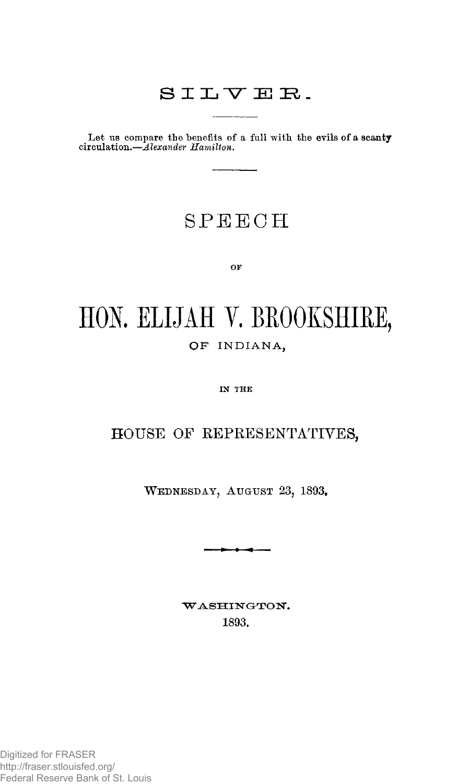# SILYEE.

Let us compare the benefits of a full with the evils of a scanty circulation.—*Alexander Hamilton.* 

# SPEEC H

**OF** 

# HON. ELIJAH V. BROOKSHIRE, OF INDIANA,

**IN THE** 

### HOUSE OF REPRESENTATIVES,

**WEDNESDAY, AUGUST 23, 1893.** 

-<del>1 - 1 - 1 - 1 - 1 - 1 - 1</del>

WASHINGTON. **1893.**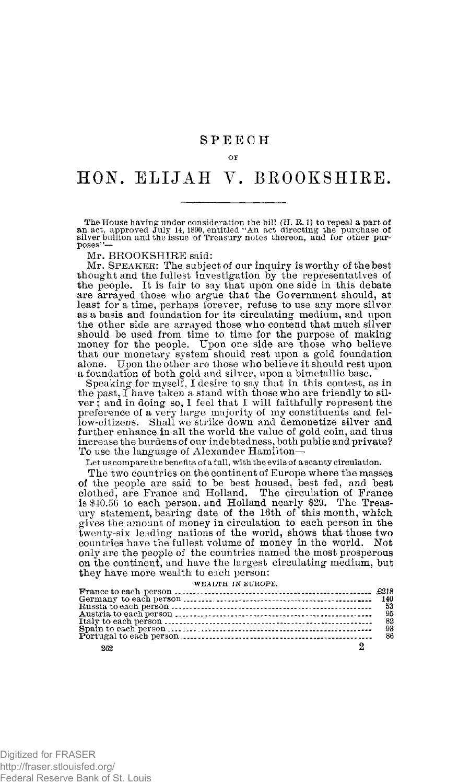#### OF

# HON. ELIJAH V. BROOKSHIRE.

The House having under consideration the bill  $(H, R, 1)$  to repeal a part of an act, approved July 14, 1890, entitled "An act directing the purchase of silver bully entitled the silver bullion and the issue of Treasury not poses"—

Mr. BROOKSHIRE said:

Mr. **S**PEAKER: The subject of our inquiry is worthy of the best thought and the fullest investigation by the representatives of the people. It is fair to say that upon one side in this debate are arrayed those who argue that the Government should, at least for a time, perhaps forever, refuse to use any more silveras a basis and foundation for its circulating medium, and upon the other side are arrayed those who contend that much silver should be used from time to time for the purpose of making<br>money for the people. Upon one side are those who believe<br>that our monetary system should rest upon a gold foundation<br>alone. Upon the other are those who believe i a foundation of both gold and silver, upon a bimetallic base.

Speaking for myself, I desire to say that in this contest, as in the past, I have taken a stand with those who are friendly to silver ; and in doing so, I feel that I will faithfully represent the preference of a very large majority of my constituents and fel-low-citizens. Shall we strike down and "demonetize silver and further enhance in all the world the value of gold coin, and thus increase the burdens of our indebtedness, both public and private? To use the language of Alexander Hamilton—

Let us compare the benefits of a full, with the evils of a scanty circulation.

The two countries on the continent of Europe where the masses of the people are said to be best housed, best fed, and best clothed, are France and Holland. The circulation of France is \$40.56 to each person, and Holland nearly \$29. The Treas-ury statement, bearing date of the 16th of this month, which gives the amount of money in circulation to each person in the twenty-six leading nations of the world, shows that those two countries have the fullest volume of money in the world. Not only are the people of the countries named the most prosperous on the continent, and have the largest circulating medium, but they have more wealth to each person:

#### WEALTH IN EUROPE,

|     | 95 |
|-----|----|
|     |    |
|     | 93 |
|     | 86 |
|     |    |
| 262 |    |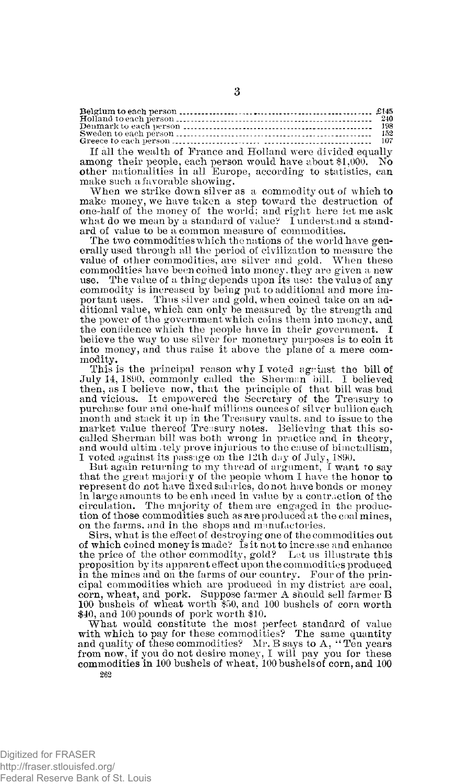If all the wealth of France and Holland were divided equally among their people, each person would have about \$1,000. No other nationalities in all Europe, according to statistics, can make such a favorable showing.

When we strike down silver as a commodity out of which to make money, we have taken a step toward the destruction of one-half of the money of the world; and right here let me ask what do we mean by a standard of value? I understand a standard of value to be a common measure of commodities.

The two commodities which the nations of the world have generally used through all the period of civilization to measure the value of other commodities, are silver and gold. When these commodities have been coined into money, they are given a new use. The value of a thing depends upon its use: the value of any commodity is increased, by being put to additional and more important uses. Thus silver and gold, when coined take on an additional value, which can only be measured by the strength and the power of the government which coins them into money, and the confidence which the people have in their government. I believe the way to use silver for monetary purposes is to coin it into money, and thus raise it above the plane of a mere commodity.

This is the principal reason why I voted agrinst the bill of July 14, 1890, commonly called the Sherman bill. I believed then, as I believe now, that the principle of that bill was bad and vicious. It empowered the Secretary of the Treasury to purchase four and one-half millions ounces of silver bullion each month and stack it up in the Treasury vaults, and to issue to the market value thereof Treasury notes. Believing that this so-called Sherman bill was both wrong in practice and in theory, and would ultim tely prove injurious to the cause of bimetallism,

I voted against its passage on the 12th day of July, 1890. But again returning to my thread of argument, I want to say that the great majority of the people whom I have the honor to represent do not have fixed salaries, do not have bonds or money in large amounts to be enhmced in value by a contraction of the circulation. The majority of them are engaged in the production of those commodities such as are produced at the coal mines, on the farms, and in the shops and manufactories.

Sirs, what is the effect of destroying one of the commodities out of which coined money is made? Is it not to increase and enhance the price of the other commodity, gold? Let us illustrate this proposition by its apparent effect upon the commodities produced in the mines and on the farms of our country. Four of the principal commodities which are produced in my district are coal, corn, wheat, and pork. Suppose farmer A should sell farmer B 100 bushels of wheat worth \$50, and 100 bushels of corn worth \$40, and 100 pounds of pork worth \$10.

What would constitute the most perfect standard of value with which to pay for these commodities? The same quantity and quality of these commodities? Mr. B says to A, " Ten years from now, if you do not desire money, I will pay you for these commodities in 100 bushels of wheat, 100 bushels of corn, and 100 **262**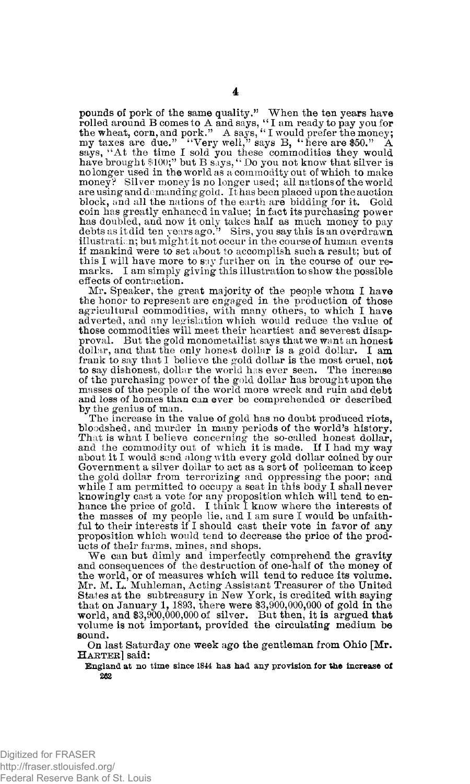pounds of pork of the same quality." When the ten years have rolled around B comes to A and says, "I am ready to pay you for<br>the wheat, corn, and pork." A says, "I would prefer the money;<br>my taxes are due." "Very well," says B, "here are \$50." A says, "At the time I sold you these "commodities they would have brought \$100;" but B says, " Do you not know that silver is no longer used in the world as a commodity out of which to make money? Silver money is no longer used; all nations of the world are using and demanding gold. It has been placed upon the auction block, and all the nations of the earth are bidding for it. Gold coin has greatly enhanced in value; in fact its purchasing power has doubled, and now it only takes half as much money to pay debts as it did ten years ago." Sirs, you say this is an overdrawn illustration; but might it not occur in the course of human events if mankind were to set about to accomplish such a result; but of this I will have more to say further on in the course of our remarks. I am simply giving this illustration to show the possible effects of contraction.

Mr. Speaker, the great majority of the people whom I have the honor to represent are engaged in the production of those agricultural commodities, with many others, to which I have adverted, and any legislation which would reduce the value of those commodities will meet their heartiest and severest disapproval. But the gold monometallist says that we want an honest dollar, and that the only honest dollar is a gold dollar. I am frank to say that I believe the gold dollar is the most cruel, not to say dishonest, dollar the world has ever seen. The increase of the purchasing power of the gold dollar has brought upon the masses of the people of the world more wreck and ruin and debt and loss of homes than can ever be comprehended or described by the genius of man.

The increase in the value of gold has no doubt produced riots, bloodshed, and murder in many periods of the world's history. That is what I believe concerning the so-called honest dollar, and the commodity out of which it is made. If I had my way about it I would send along with every gold dollar coined by our Government a silver dollar to act as a sort of policeman to keep the gold dollar from terrorizing and oppressing the poor; and while I am permitted to occupy a seat in this body I shall never knowingly cast a vote for any proposition which will tend to en-hance the price of gold. I think I know where the interests of the masses of my people lie, and I am sure I would be unfaithful to their interests if I should cast their vote in favor of any proposition which would tend to decrease the price of the products of their farms, mines, and shops.

We can but dimly and imperfectly comprehend the gravity and consequences of the destruction of one-half of the money of the world, or of measures which will tend to reduce its volume. Mr. M. L. Muhleman, Acting Assistant Treasurer of the United States at the subtreasury in New York, is credited with saying that on January 1, 1893, there were  $$3,900,000,000$  of gold in the world, and \$3,900,000,000 of silver. But then, it is argued that volume is not important, provided the circulating medium be sound.

On last Saturday one week ago the gentleman from Ohio [Mr. **H**ARTER] said:

**England at no time since 1844 has had any provision for the increase of 262**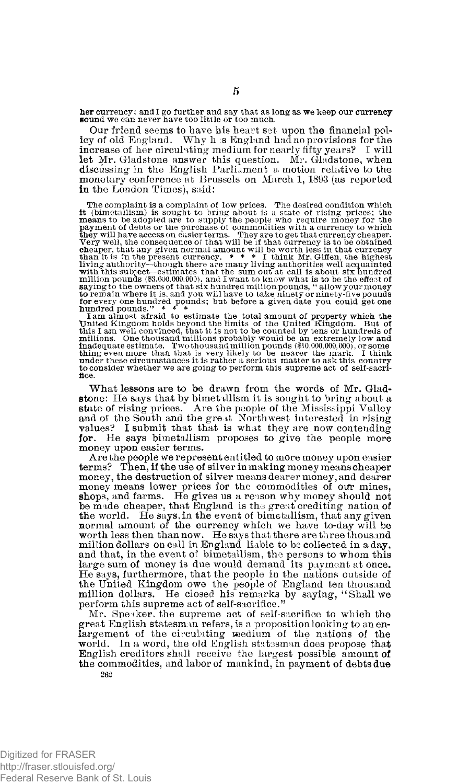her currency; and I go further and say that as long as we keep our currency sound we can never have too little or too much.

Our friend seems to have his heart set upon the financial policy of old England. Why h is England had no provisions for the increase of her circulating medium for nearly fifty years? I will let Mr. Gladstone answer this question. Mr. Gladstone, when discussing in the English Parliament a motion relative to the monetary conference at Brussels on March 1, 1893 (as reported in the London Times), said:

The complaint is a complaint of low prices. The desired condition which<br>the (bimetallism) is sought to bring about is a state of rising prices; the<br>means to be adopted are to supply the people who require money for the<br>pa for every one hundred pounds; but before a given date you could get one hundred pounds." \* \* \*

I am almost afraid to estimate the total amount of property which the United Kingdom. But of this 1 am almost optical and the limits of the United Kingdom. But of this 1 am well convinced, that it is not to be counted by to consider whether we are going to perform this supreme act of self-sacrifice.

What lessons are to be drawn from the words of Mr. Gladstone: He says that by bimet allism it is sought to bring about a state of rising prices. Are the people of the Mississippi Valley and of the South and the great Northwest interested in rising values? I submit that that is what they are now contending for. He says bimetallism proposes to give the people more money upon easier terms.

Are the people we represent entitled to more money upon easier terms? Then, if the use of silver in making money means cheaper money, the destruction of silver means dearer money, and dearer<br>money means lower prices for the commodities of our mines,<br>shops, and farms. He gives us a reason why money should not<br>be made cheaper, that England is the gr the world. He says, in the event of bimetallism, that any given normal amount of the currency which we have to-day will be worth less then than now. He says that there are three thousand million dollars on call in England liable to be collected in a day, and that, in the event of bimetallism, the persons to whom this large sum of money is due would demand its payment at once. He says, furthermore, that the people in the nations outside of the United Kingdom owe the people of England ten thousand million dollars. He closed his remarks by saying, "Shall we perform this supreme act of self-sacrifice."

Mr. Speaker, the supreme act of self-sacrifice to which the great English statesman refers, is a proposition looking to an enlargement of the circulating medium of the nations of the world. In a word, the old English statesman does propose that English creditors shall receive the largest possible amount of the commodities, and labor of mankind, in payment of debts due **262**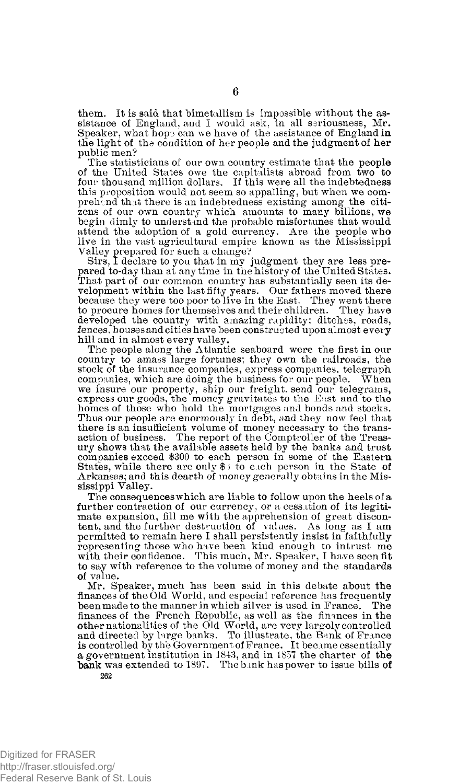them. It is said that bimetallism is impossible without the assistance of England, and I would ask, in all seriousness, Mr. Speaker, what hops can we have of the assistance of England in the light of the condition of her people and the judgment of her public men?

The statisticians of our own country estimate that the people of the United States owe the capitalists abroad from two to four thousand million dollars. If this were all the indebtedness this proposition would not seem so appalling, but when we comprehend that there is an indebtedness existing among the citizens of our own country which amounts to many billions, we begin dimly to understand the probable misfortunes that would attend the adoption of a gold currency. Are the people who live in the vast agricultural empire known as the Mississippi

Valley prepared for such a change?<br>Sirs, I declare to you that in my judgment they are less prepared to-day than at any time in the history of the United States.<br>That part of our common country has substantially seen its d velopment within the last fifty years. Our fathers moved there because they were too poor to live in the East. They went there to procure homes for themselves and their children. They have developed the country with amazing rapidity; ditches, roads, fences, houses and cities have been constructed upon almost every hill and in almost every valley.

The people along the Atlantic seaboard were the first in our country to amass large fortunes; they own the railroads, the stock of the insurance companies, express companies, telegraph<br>companies, which are doing the business for our people. When companies, which are doing the business for our people. we insure our property, ship our freight, send our telegrams, express our goods, the money gravitates to the East and to the homes of those who hold the mortgages and bonds and stocks. Thus our people are enormously in debt, and they now feel that there is an insufficient volume of money necessary to the transaction of business. The report of the Comptroller of the Treasury shows that the available assets held by the banks and trust companies exceed \$300 to each person in some of the Eastern States, while there are only  $\frac{1}{2}$  to each person in the State of Arkansas; and this dearth of money generally obtains in the Mississippi Valley.

The consequences which are liable to follow upon the heels of a further contraction of our currency, or a cessation of its legitimate expansion, fill me with the apprehension of great discontent, and the further destruction of values. As long as I am permitted to remain here I shall persistently insist in faithfully representing those who have been kind enough to intrust me with their confidence. This much, Mr. Speaker, I have seen fit to say with reference to the volume of money and the standards of value.

Mr. Speaker, much has been said in this debate about the finances of the Old World, and especial reference has frequently been made to the manner in which silver is used in France. The finances of the French Republic, as well as the finances in the other nationalities of the Old World, are very largely controlled and directed by large banks. To illustrate, the Bank of France is controlled by the Government of France. It became essentially a government institution in 1843, and in 1857 the charter of the bank was extended to 1897. The bank has power to issue bills of **262**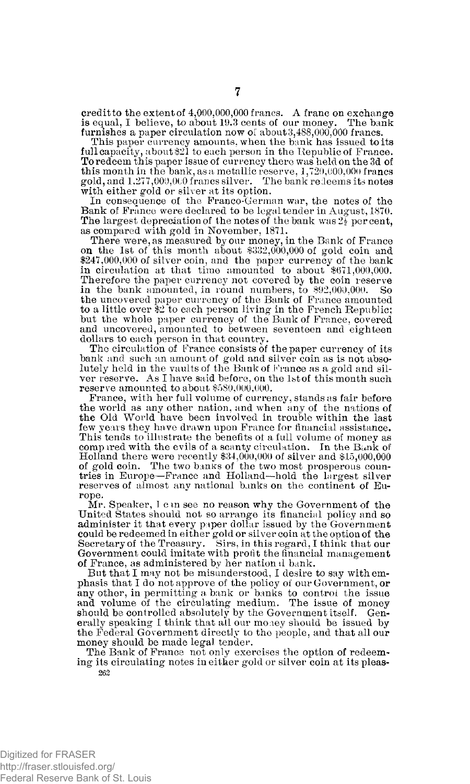credit to the extent of 4,000,000,000 francs. A franc on exchange is equal, I believe, to about 19.3 cents of our money. The bank is equal, I believe, to about 19.3 cents of our money. furnishes a paper circulation now of about 3,488,000,000 francs.

This paper currency amounts, when the bank has issued to its full capacity, about \$21 to each person in the Republic of France. To redeem this paper issue of currency there was held on the 3d of this month in the bank, as a metallic reserve, 1,720,000,000 francs gold, and 1,277,009,000 francs silver. The bank redeems its notes with either gold or silver at its option.

In consequence of the Franco-German war, the notes of the Bank of France were declared to be legal tender in August, 1870. The largest depreciation of the notes of the bank was  $2\frac{7}{2}$  per cent, as compared with gold in November, 1871.

There were, as measured by our money, in the Bank of France on the 1st of this month about \$332,000,000 of gold coin and \$247,000,000 of silver coin, and the paper currency of the bank in circulation at that time amounted to about \$671,000,000. Therefore the paper currency not covered by the coin reserve in the bank amounted, in round numbers, to \$92,000,000. So the uncovered paper currency of the Bank of France amounted to a little over \$2 to each person living in the French Republic; but the whole paper currency of the Bank of France, covered and uncovered, amounted to between seventeen and eighteen dollars to each person in that country.

The circulation of France consists of the paper currency of its bank and such an amount of gold and silver coin as is not absolutely held in the vaults of the Bank of France as a gold and silver reserve. As I have said before, on the 1st of this month such reserve amounted to about \$580,000,000.

France, with her full volume of currency, stands as fair before the world as any other nation, and when any of the nations of the Old World have been involved in trouble within the last few years they have drawn upon France for financial assistance. This tends to illustrate the benefits of a full volume of money as compared with the evils of a scanty circulation. In the Bank of Holland there were recently \$34,000,000 of silver and \$15,000,000 of gold coin. The two banks of the two most prosperous coun-tries in Europe—France and Holland—hold the largest silver reserves of almost any national banks on the continent of Europe.

Mr. Speaker, I can see no reason why the Government of the United States should not so arrange its financial policy and so administer it that every paper dollar issued by the Government could be redeemed in either gold or silver coin at the option of the Secretary of the Treasury. Sirs, in this regard, I think that our Government could imitate with profit the financial management of France, as administered by her national bank.

But that I may not be misunderstood, I desire to say with emphasis that I do not approve of the policy of our Government, or any other, in permitting a bank or banks to control the issue and volume of the circulating medium. The issue of money should be controlled absolutely by the Government itself. Generally speaking I think that all our money should be issued by the Federal Government directly to the people, and that all our money should be made legal tender.

The Bank of France not only exercises the option of redeeming its circulating notes in either gold or silver coin at its pleas-**262**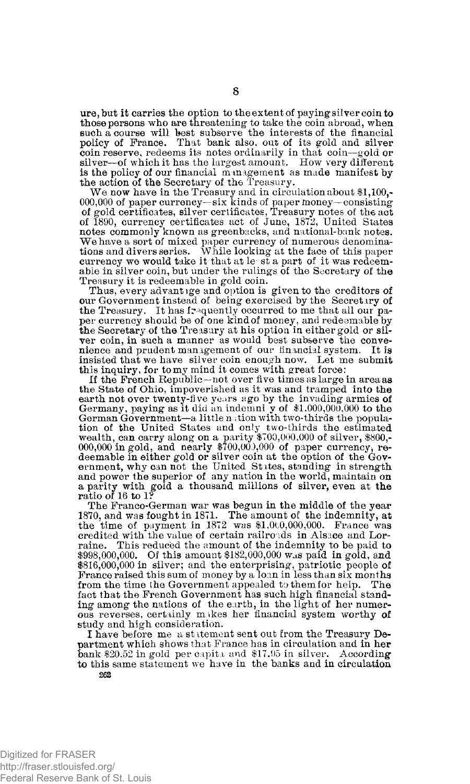ure,but it carries the option to the extent of paying silver coin to those persons who are threatening to take the coin abroad, when such a course will best subserve the interests of the financial policy of France. That bank also, out of its gold and silver coin reserve, redeems its notes ordinarily in that coin—gold or silver-of which it has the largest amount. How very different is the policy of our financial management as made manifest by the action of the Secretary of the Treasury.

We now have in the Treasury and in circulation about \$1,100,-000,000 of paper currency—six kinds of paper money—consisting of gold certificates, silver certificates, Treasury notes of the act of 1890, currency certificates act of June, 1872, United States notes commonly known as greenbacks, and national-bank notes. We have a sort of mixed paper currency of numerous denominations and divers series. While looking at the face of this paper currency we would take it that at le st a part of it was redeemable in silver coin, but under the rulings of the Secretary of the Treasury it is redeemable in gold coin.

Thus, every advantage and option is given to the creditors of our Government instead of being exercised by the Secretary of the Treasury. It has frequently occurred to me that all our paper currency should be of one kind of money, and redeemable by the Secretary of the Treasury at his option in either gold or sil-ver coin, in such a manner as would best subserve the convenience and prudent management of our financial system. It is insisted that we have silver coin enough now. Let me submit this inquiry, for to my mind it comes with great force:

If the French Republic—not over five times as large in area as the State of Ohio, impoverished as it was and tramped into the earth not over twenty-five years ago by the invading armies of Germany, paying as it did an indemni y of  $$1,000,000,000$  to the German Government—a little nation with two-thirds the population of the United States and only two-thirds the estimated wealth, can carry along on a parity  $$709,000,000$  of silver,  $$800,-000,000$  in gold, and nearly  $$70$ deemable in either gold or silver coin at the option of the Government, why can not the United Stites, standing in strength and power the superior of any nation in the world, maintain on a parity with gold a thousand millions of silver, even at the ratio of 16 to 1?

The Franco-German war was begun in the middle of the year 1870, and was fought in 1871. The amount of the indemnity, at the time of payment in 1872 was \$1,000,000,000. France was credited with the value of certain railroads in Alsace and Lorraine. This reduced the amount of the indemnity to be paid to \$998,000,000. Of this amount \$182,000,000 was paid in gold, and \$816,000,000 in silver; and the enterprising, patriotic people of France raised this sum of money by a loan in less than six months from the time the Government appealed to them for help. The fact that the French Government has such high financial standing among the nations of the earth, in the light of her numerous reverses, certainly makes her financial system worthy of study and high consideration.

I have before me a statement sent out from the Treasury Department which shows that France has in circulation and in her bank \$20.52 in gold per capita and \$17.95 in silver. According to this same statement we have in the banks and in circulation **262**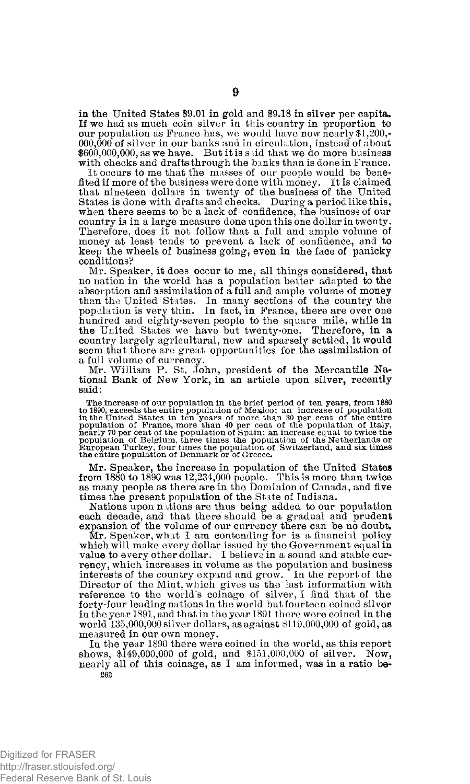in the United States \$9.01 in gold and \$9.18 in silver per capita. If we had as much coin silver in this country in proportion to our population as France has, we would have now nearly \$1,200,-  $000,000$  of silver in our banks and in circulation, instead of about  $$600,000,000,$  as we have. But it is said that we do more business with checks and drafts through the banks than is done in France.

It occurs to me that the masses of our people would be benefited if more of the business were done with money. It is claimed that nineteen dollars in twenty of the business of the United States is done with drafts and checks. During a period like this, when there seems to be a lack of confidence, the business of our country is in a large measure done upon this one dollar in twenty. Therefore, does it not follow that a full and ample volume of money at least tends to prevent a lack of confidence, and to keep the wheels of business going, even in the face of panicky conditions?

Mr. Speaker, it does occur to me, all things considered, that no nation in the world has a population better adapted to the absorption and assimilation of a full and ample volume of money than the United States. In many sections of the country the population is very thin. In fact, in France, there are over one hundred and eighty-seven people to the square mile, while in the United States we have but twenty-one. Therefore, in a country largely agricultural, new and sparsely settled, it would seem that there are great opportunities for the assimilation of a full volume of currency.

Mr. William P. St. John, president of the Mercantile Na-tional Bank of New York, in an article upon silver, recently said:

The increase of our population in the brief period of ten years, from 1880<br>to 1890, exceeds the entire population of Mexico; an increase of population<br>in the United States in ten years of more than 30 per cent of the enti

Mr. Speaker, the increase in population of the United States from 1880 to 1890 was 12,234,000 people. This is more than twice as many people as there are in the Dominion of Canada, and five times the present population of the State of Indiana.

Nations upon nations are thus being added to our population each decade, and that there should be a gradual and prudent expansion of the volume of our currency there can be no doubt.

Mr. Speaker, what I am contending for is a financial policy which will make every dollar issued by the Government equal in value to every other dollar. I believe in a sound and stable currency, which increases in volume as the population and business interests of the country expand and grow. In the report of the Director of the Mint, which gives us the last information with reference to the world's coinage of silver, I find that of the forty-four leading nations in the world but fourteen coined silver in the year 1891, and that in the year 1891 there were coined in the world  $135,000,000$  silver dollars, as against  $\$119,000,000$  of gold, as measured in our own money.

In the year 1890 there were coined in the world, as this report ows. \$149,000,000 of gold, and \$151,000,000 of silver. Now, shows,  $$149,000,000$  of gold, and  $$151,000,000$  of silver. nearly all of this coinage, as I am informed, was in a ratio be-**262**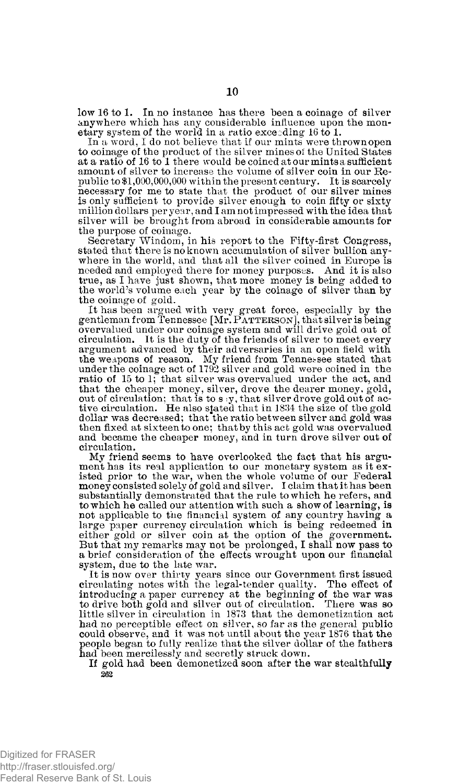low 16 to 1. In no instance has there been a coinage of silver anywhere which has any considerable influence upon the monetary system of the world in a ratio exceeding 16 to 1.

In a word, I do not believe that if our mints were thrown open to coinage of the product of the silver mines of the United States at a ratio of 16 to 1 there would be coined at our mints a sufficient amount of silver to increase the volume of silver coin in our Republic to \$1,000,000,000 within the present century. It is scarcely necessary for me to state that the product of our silver mines is only sufficient to provide silver enough to coin fifty or sixty million dollars per year, and I am not impressed with the idea that silver will be brought from abroad in considerable amounts for the purpose of coinage.

Secretary Windom, in his report to the Fifty-first Congress, stated that there is no known accumulation of silver bullion anywhere in the world, and that all the silver coined in Europe is needed and employed there for money purposes. And it is also true, as I have just shown, that more money is being added to the world's volume each year by the coinage of silver than by the coinage of gold.

It has been argued with very great force, especially by the gentleman from Tennessee [Mr. **P**ATTERSON], that silver is being overvalued under our coinage system and will drive gold out of circulation. It is the duty of the friends of silver to meet every argument advanced by their adversaries in an open field with the weapons of reason. My friend from Tennessee stated that under the coinage act of 1792 silver and gold were coined in the ratio of 15 to 1; that silver was overvalued under the act, and that the cheaper money, silver, drove the dearer money, gold, out of circulation; that is to s ;y, that silver drove gold out of ac-tive circulation. He also stated that in 1834 the size of the gold dollar was decreased; that the ratio between silver and gold was then fixed at sixteen to one; that by this act gold was overvalued and became the cheaper money, and in turn drove silver out of circulation.

My friend seems to have overlooked the fact that his argument has its real application to our monetary system as it existed prior to the war, when the whole volume of our Federal money consisted solely of gold and silver. I claim that it has been substantially demonstrated that the rule to which he refers, and to which he called our attention with such a show of learning, is not applicable to the financial system of any country having a large paper currency circulation which is being redeemed in either gold or silver coin at the option of the government. But that my remarks may not be prolonged, I shall now pass to a brief consideration of the effects wrought upon our financial system, due to the late war.

It is now over thirty years since our Government first issued circulating notes with the legal-tender quality. The effect of introducing a paper currency at the beginning of the war was to drive both gold and silver out of circulation. There was so little silver in circulation in 1873 that the demonetization act had no perceptible effect on silver, so far as the general public could observe, and it was not until about the year 1876 that the people began to fully realize that the silver dollar of the fathers had been mercilessly and secretly struck down.

If gold had been demonetized soon after the war stealthfully **262**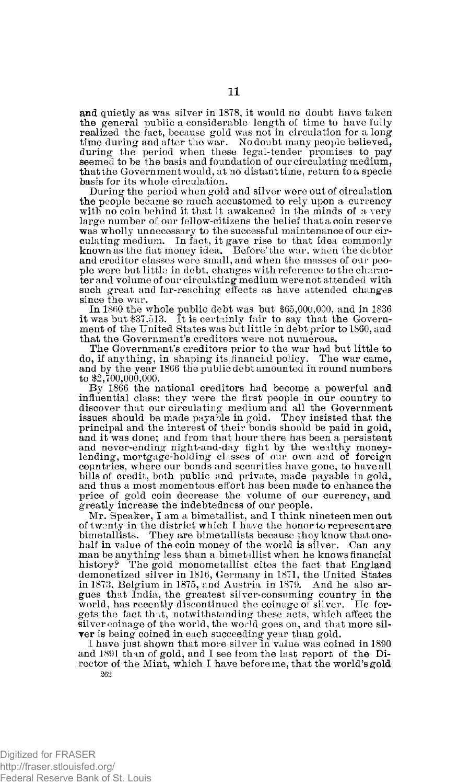and quietly as was silver in 1878, it would no doubt have taken the general public a considerable length of time to have fully realized the fact, because gold was not in circulation for a long time during and after the war. No doubt many people believed, during the period when these legal-tender promises to pay seemed to be the basis and foundation of our circulating medium, thatthe Government would, at no distanttime, return to a specie basis for its whole circulation.

During the period when gold and silver were out of circulation the people became so much accustomed to rely upon a currency with no coin behind it that it awakened in the minds of a very large number of our fellow-citizens the belief that a coin reserve was wholly unnecessary to the successful maintenance of our circulating medium. In fact, it gave rise to that idea commonly known as the fiat money idea. Before'the war. when the debtor and creditor classes were small, and when the masses of our people were but little in debt, changes with reference to the character and volume of our circulating medium were not attended with such great and far-reaching effects as have attended changes since the war.

In 1860 the whole public debt was but \$65,000,000, and in 1836 it was but \$37,513. It is certainly fair to say that the Government of the United States was but little in debt prior to 1860, and that the Government's creditors were not numerous.

The Government's creditors prior to the war had but little to do, if anything, in shaping its financial policy. The war came, and by the year 1866 the public debt amounted in round numbers to \$2,700,000,000.

By 1866 the national creditors had become a powerful and influential class; they were the first people in our country to discover that our circulating medium and all the Government issues should be made payable in gold. They insisted that the principal and the interest of their bonds should be paid in gold, and it was done; and from that hour there has been a persistent and never-ending night-and-day fight by the wealthy money-lending, mortgage-holding classes of our own and of foreign countries, where our bonds and securities have gone, to have all bills of credit, both public and private, made payable in gold, and thus a most momentous effort has been made to enhance the price of gold coin decrease the volume of our currency, and greatly increase the indebtedness of our people.

Mr. Speaker, I am a bimetallist, and I think nineteen men out of twenty in the district which I have the honor to represent are bimetallists. They are bimetallists because they know that onehalf in value of the coin money of the world is silver. Can any man be anything less than a bimetallist when he knows financial history? The gold monometallist cites the fact that England demonetized silver in 1816, Germany in 1871, the United States in 1873, Belgium in 1875, and Austria in 1879. And he also argues that India, the greatest silver-consuming country in the world, has recently discontinued the coinage of silver. He forgets the fact that, notwithstanding these acts, which affect the silver coinage of the world, the world goes on, and that more silver is being coined in each succeeding year than gold.

I have just shown that more silver in value was coined in 1890 and 1891 than of gold, and I see from the last report of the Director of the Mint, which I have before me, that the world's gold 262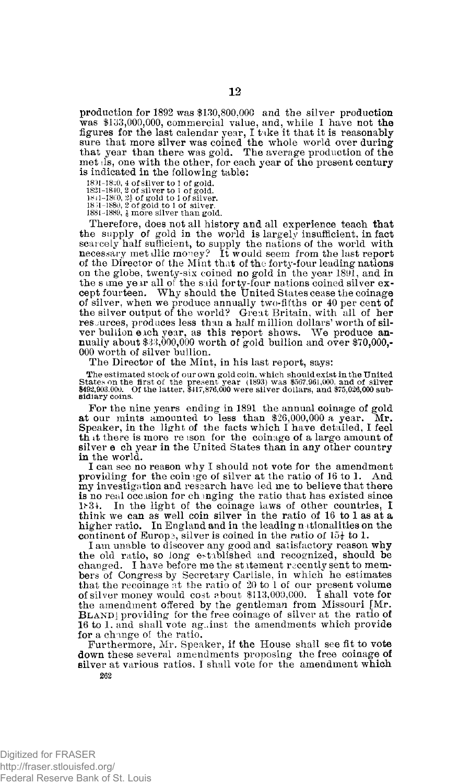production for 1892 was \$130,800,000 and the silver production was \$133,000,000, commercial value, and, while I have not the figures for the last calendar year, I take it that it is reasonably sure that more silver was coined the whole world over during that year than there was gold. The average production of the met ils, one with the other, for each year of the present century is indicated in the following table:

1801-18-0, 4 of silver to 1 of gold. 1821-1840, 2 of silver to 1 of gold. 18 j 1-18C0, 2i of gold to 1 of silver. 18 51-1880, 2 of gold to 1 of silver.

1881-1889, & more silver than gold.

Therefore, does not all history and all experience teach that the supply of gold in the world is largely insufficient, in fact scarcely half sufficient, to supply the nations of the world with necessary metallic money? It would seem from the last report of the Director of the Mint that of the forty-four leading nations on the globe, twenty-six coined no gold in the year 1891, and in the s ime year all *oi* the said forty-four nations coined silver except fourteen. Why should the United States cease the coinage of silver, when we produce annually two-fifths or 40 per cent of the silver output of the world? Great Britain, with all of her resources, produces less than a half million dollars' worth of silver bullion each year, as this report shows. We produce annually about \$33,000,000 worth of gold bullion and over \$70,000,-000 worth of silver bullion.

The Director of the Mint, in his last report, says:

The estimated stock of our own gold coin, which should exist in the United<br>States on the first of the present year (1893) was \$507.961.000. and of silver<br>\$492,903.000. Of the latter, \$417,876,000 were silver doilars, and \$ sidiary coins.

For the nine years ending in 1891 the annual coinage of gold at our mints amounted to less than \$26,000,000 a year. Mr. Speaker, in the ligrht of the facts which I have detailed, I feel that there is more reason for the coinage of a large amount of silver e ch year in the United States than in any other country in the world.

I can see no reason why I should not vote for the amendment providing for the coinige of silver at the ratio of 16 to 1. And my investigation and research have led me to believe that there is no real occasion for ch mging the ratio that has existed since 1.34. In the light of the coinage laws of other countries, I think we can as well coin silver in the ratio of 16 to 1 as at a higher ratio. In England and in the leading nationalities on the continent of Europe, silver is coined in the ratio of  $15\frac{1}{2}$  to 1.

I am unable to discover any good and satisfactory reason why the old ratio, so long established and recognized, should be changed. I have before me the statement recently sent to members of Congress by Secretary Carlisle, in which he estimates that the recoinage at the ratio of 20 to 1 of our present volume of silver money would cost about \$1 the amendment offered by the gentleman from Missouri [Mr. **B**LAND] providing for the free coinage of silver at the ratio of 16 to 1, and shall vote against the amendments which provide for a change of the ratio.

Furthermore, Mr. Speaker, if the House shall see fit to vote down these several amendments proposing the free coinage of silver at various ratios, I shall vote for the amendment which **262**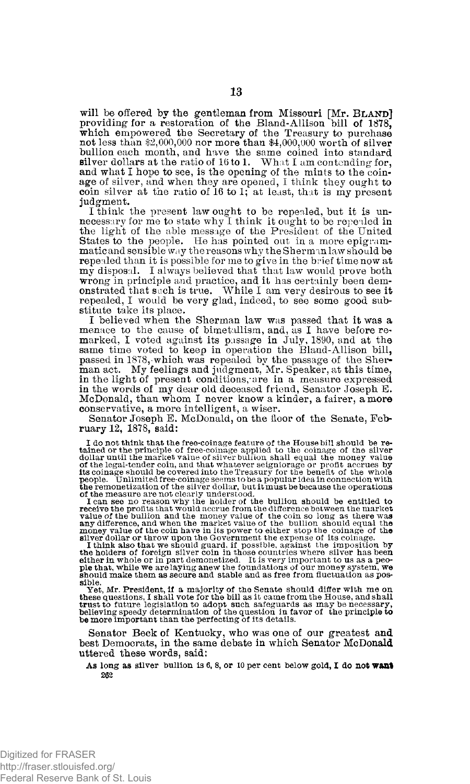will be offered by the gentleman from Missouri [Mr. **B**LAND] providing for a restoration of the Bland-Allison bill of 1878, which empowered the Secretary of the Treasury to purchase not less than \$2,000,000 nor more than \$4,000,000 worth of silver bullion each month, and have the same coined into standard silver dollars at the ratio of 16 to 1. What I am contending for, and what I hope to see, is the opening of the mints to the coin-<br>age of silver, and when they are opened, I think they ought to coin silver at the ratio of 16 to 1; at least, that is my present judgment.

I think the present law ought to be repealed, but it is unnecessary for me to state why I think it ought to be repealed in the light of the able message of the President of the United States to the people. He has pointed out in a more epigrammatic and sensible way the reasons why the Sherman law should be repealed than it is possible for me to give in the brief time now at my disposal. I always believed that that law would prove both wrong in principle and practice, and it has certainly been demonstrated that such is true. While **I** am very desirous to see it repealed, **I** would be very glad, indeed, to see some good substitute take its place.

**I** believed when the Sherman law was passed that it was a menace to the cause of bimetallism, and, as I have before re-<br>marked, I voted against its passage in July, 1890, and at the<br>same time voted to keep in operation the Bland-Allison bill,<br>passed in 1878, which was repealed by in the light of present conditions, are in a measure expressed in the words of my dear old deceased friend, Senator Joseph E. McDonald, than whom **I** never know a kinder, a fairer, a more conservative, a more intelligent, a wiser.

Senator Joseph E. McDonald, on the floor of the Senate, February 12, 1878, said:

I do not think that the free-coinage feature of the House bill should be re-<br>tained or the principle of free-coinage applied to the coinage of the silver<br>dollar until the market value of silver bullion shall equal the mon

of the measure are not clearly understood,<br>I can see no reason why the holder of the bullion should be entitled to<br>receive the profits that would accrue from the difference between the market<br>value of the bullion and the m

money value of the coin have in its power to either stop the coinage of the silver dollar or throw upon the Government the expense of its coinage. It think also that we should guard, if possible, against the imposition by should make them as secure and stable and as free from fluctuation as possible.

Yet, Mr. President, if a majority of the Senate should differ with me on<br>these questions, I shall vote for the bill as it came from the House, and shall<br>trust to future legislation to adopt such safeguards as may be necess

Senator Beck of Kentucky, who was one of our greatest and best Democrats, in the same debate in which Senator McDonald uttered these words, said:

**As** long **as** silver bullion is **6, 8, or 10** per cent below gold, **I do not want 262**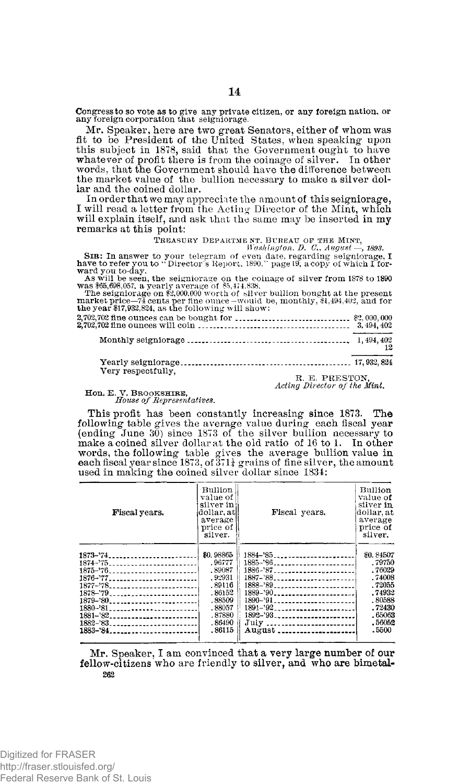Congress to so vote as to give any private citizen, or any foreign nation, or any foreign corporation that seigniorage.

Mr. Speaker, here are two great Senators, either of whom was fit to be President of the United States, when speaking upon this subject in 1878, said that the Government ought to have whatever of profit there is from the coinage of silver. In other words, that the Government should have the difference between the market value of the bullion necessary to make a silver dollar and the coined dollar.

In order that we may appreciate the amount of this seigniorage, I will read a letter from the Acting Director of the Mint, which will explain itself, and ask that the same may be inserted in my remarks at this point:

### **TREASURY DEPARTME NT, BUREAU OF THE MINT,**  *Washington, D. C., August —, 1893.*

**SIB**: In answer to your telegram of even date, regarding seigniorage, **I**  have to refer you to "Director's Report, 1890," page 19, a copy of which I for-

ward you to-day. As will be seen, the seigniorage on the coinage of silver from 1878 to 1890 was \$65,698,057, a yearly average of \$5,474,838. The seigniorage on \$2,000,000 worth of silver bullion bought at the present

| $\pm$ 110 Setembrica on the motion with the struct number of the state at the brescht<br>market price—74 cents per fine ounce—would be, monthly, \$1,494,402, and for<br>the year \$17,932,824, as the following will show: |    |
|-----------------------------------------------------------------------------------------------------------------------------------------------------------------------------------------------------------------------------|----|
|                                                                                                                                                                                                                             |    |
|                                                                                                                                                                                                                             |    |
|                                                                                                                                                                                                                             | 12 |
|                                                                                                                                                                                                                             |    |
| Very respectfully,                                                                                                                                                                                                          |    |

**R. E . PRESTON ,**  *Acting Director of the Mint.* 

### Hon . **E . V . BROOKSHIRE,**  *House of Representatives.*

This profit has been constantly increasing since 1873. The following table gives the average value during each fiscal year (ending June 30) since 1873 of the silver bullion necessary to make a coined silver dollar at the old ratio of 16 to 1. In other words, the following table g used in making the coined silver dollar since 1834:

| Fiscal years. | Bullion<br>value of  <br>silver in<br>dollar, at<br>average<br>price of<br>silver. | Fiscal years.                             | Bullion<br>value of<br>silver in<br>dollar at<br>average<br>price of<br>silver. |
|---------------|------------------------------------------------------------------------------------|-------------------------------------------|---------------------------------------------------------------------------------|
| 1873-74       | \$0.98865                                                                          | $1884 - 85$                               | \$0.84507                                                                       |
| 1874-'75      | .96777                                                                             | 1885-'86                                  | . 79750                                                                         |
| $1875 - 76$   | .89087                                                                             | $1886 - 87$                               | .76029                                                                          |
| 1876-777      | . 92931                                                                            | 1887-'88                                  | .74008                                                                          |
| $1877 - 78$   | . 89116                                                                            | $1888 - 89$                               | .72055                                                                          |
| $1878 - 79$   | .86152                                                                             | $1889 - 90$                               | .74932                                                                          |
| 1879-'80      | .88509                                                                             | 1890-'91                                  | .80588                                                                          |
| 1880-'81      | .88057                                                                             | $1891 - 92 - 27 - 27 - 27 - 27 - 27 - 27$ | .72430                                                                          |
| $1881 - 82$   | .87880                                                                             | $1892 - 93$                               | .65063                                                                          |
| $1882 - 83$   | . 86490                                                                            | July                                      | .56052                                                                          |
| $1883 - 84$   | .86115                                                                             | August                                    | .5500                                                                           |

Mr. Speaker, I am convinced that a very large number of our fellow-citizens who are friendly to silver, and who are bimetal-**262**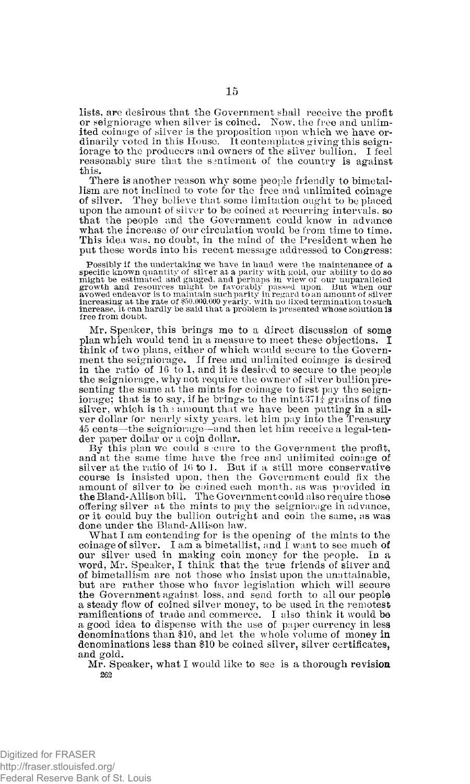lists, are desirous that the Government shall receive the profit or seigniorage when silver is coined. Now, the free and unlimited coinage of silver is the proposition upon which we have ordinarily voted in this House. It contemplates giving this seigniorage to the producers and owners of the silver bullion. I feel reasonably sure that the sentiment of the country is against this.

There is another reason why some people friendly to bimetallism are not inclined to vote for the free and unlimited coinage of silver. They believe that some limitation ought to be placed upon the amount of silver to be coined at recurring intervals, so that the people and the Government could know in advance what the increase of our circulation would be from time to time. This idea was, no doubt, in the mind of the President when he put these words into his recent message addressed to Congress:

Possibly if the undertaking we have in hand were the maintenance of a specific known quantity of silver at a parity with gold, our ability to do so particle might be estimated and gauged, and perhaps in view of our unpara free from doubt.

Mr. Speaker, this brings me to a direct discussion of some plan which would tend in a measure to meet these objections. I think of two plans, either of which would secure to the Government the seigniorage. If free and unlimited coinage is desired in the ratio of 16 to 1, and it is desired to secure to the people the seigniorage, why not require the owner of silver bullion presenting the same at the mints for coinage to first pay the seigniorage; that is to say, if he brings to the mint  $371\frac{1}{4}$  grains of fine silver, which is the amount that we have been putting in a silver dollar for nearly sixty years, let him pay into the Treasury 45 cents—the seigniorage—and then let him receive a legal-tender paper dollar or a coin dollar.

By this plan we could seeme to the Government the profit, and at the same time have the free and unlimited coinage of silver at the ratio of 16 to 1. But if a still more conservative course is insisted upon, then the Government could fix the amount of silver to be coined each month, as was provided in the Bland-Allison bill. The Government could also require those offering silver at the mints to pay the seigniorage in advance, or it could buy the bullion outright and coin the same, as was done under the Bland-Allison law.

What I am contending for is the opening of the mints to the coinage of silver. I am a bimetallist, and I want to see much of our silver used in making coin money for the people. In a word, Mr. Speaker, I think that the true friends of silver and of bimetallism are not those who insist upon the unattainable, but are rather those who favor legislation which will secure the Government against loss, and send forth to all our people a steady flow of coined silver money, to be used in the remotest ramifications of trade and commerce. I also think it would be a good idea to dispense with the use of paper currency in less denominations than \$10, and let the whole volume of money in denominations less than \$10 be coined silver, silver certificates, and gold.

Mr. Speaker, what I would like to see is a thorough revision *262*